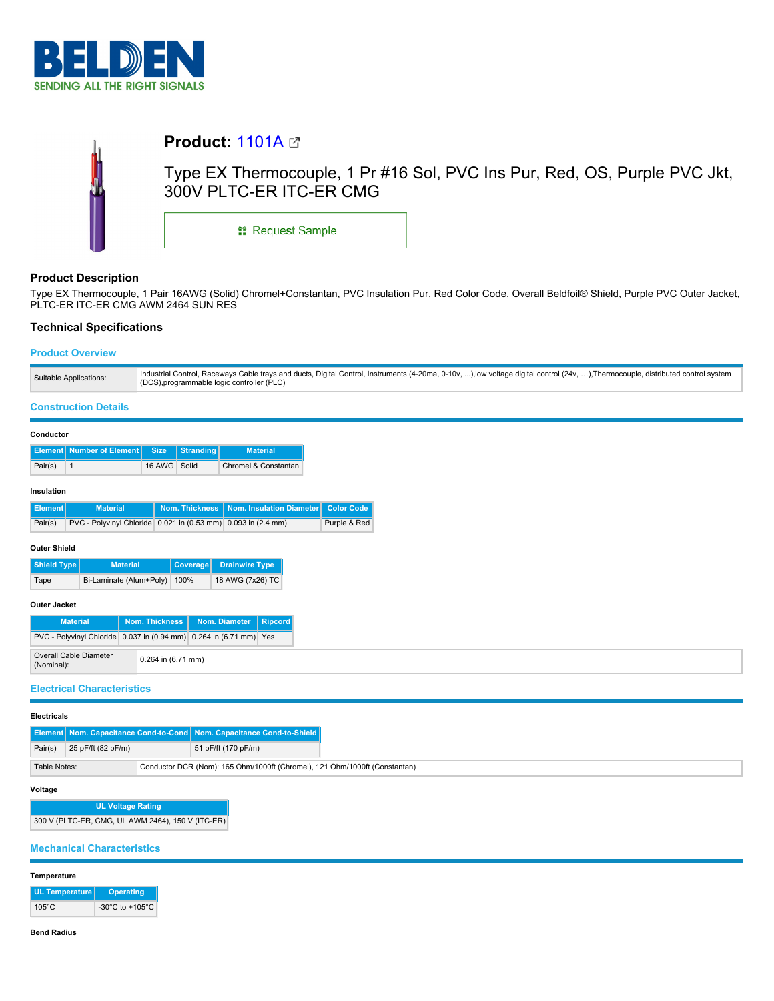



## **Product Description**

Type EX Thermocouple, 1 Pair 16AWG (Solid) Chromel+Constantan, PVC Insulation Pur, Red Color Code, Overall Beldfoil® Shield, Purple PVC Outer Jacket, PLTC-ER ITC-ER CMG AWM 2464 SUN RES

## **Technical Specifications**

## **Product Overview**

|                        | Industrial Control, Raceways Cable trays and ducts, Digital Control, Instruments (4-20ma, 0-10v, ),low voltage digital control (24v, ), Thermocouple, distributed control system |
|------------------------|----------------------------------------------------------------------------------------------------------------------------------------------------------------------------------|
| Suitable Applications: | (DCS), programmable logic controller (PLC)                                                                                                                                       |

### **Construction Details**

|            | Conductor | <b>Element   Number of Element  </b> | <b>Size</b>  | <b>Stranding</b> | <b>Material</b>      |  |  |  |
|------------|-----------|--------------------------------------|--------------|------------------|----------------------|--|--|--|
|            | Pair(s)   |                                      | 16 AWG Solid |                  | Chromel & Constantan |  |  |  |
| Insulation |           |                                      |              |                  |                      |  |  |  |

| Element <sup>1</sup> | <b>Material</b>                                               | Nom. Thickness   Nom. Insulation Diameter   Color Code |              |
|----------------------|---------------------------------------------------------------|--------------------------------------------------------|--------------|
| Pair(s)              | PVC - Polyvinyl Chloride 0.021 in (0.53 mm) 0.093 in (2.4 mm) |                                                        | Purple & Red |

### **Outer Shield**

| Shield Type | <b>Material</b>              | Coverage | <b>Drainwire Type</b> |
|-------------|------------------------------|----------|-----------------------|
| Tape        | Bi-Laminate (Alum+Poly) 100% |          | 18 AWG (7x26) TC      |

## **Outer Jacket**

| <b>Material</b>                                                    |  | Nom. Thickness         | Nom. Diameter   Ripcord |  |
|--------------------------------------------------------------------|--|------------------------|-------------------------|--|
| PVC - Polyvinyl Chloride 0.037 in (0.94 mm) 0.264 in (6.71 mm) Yes |  |                        |                         |  |
| Overall Cable Diameter<br>(Nominal):                               |  | $0.264$ in $(6.71$ mm) |                         |  |

## **Electrical Characteristics**

### **Electricals**

|              |                    | <b>Element Nom. Capacitance Cond-to-Cond Nom. Capacitance Cond-to-Shield  </b> |
|--------------|--------------------|--------------------------------------------------------------------------------|
| Pair(s)      | 25 pF/ft (82 pF/m) | 51 pF/ft (170 pF/m)                                                            |
| Table Notes: |                    | Conductor DCR (Nom): 165 Ohm/1000ft (Chromel), 121 Ohm/1000ft (Constantan)     |

### **Voltage**

# **UL Voltage Rating**

300 V (PLTC-ER, CMG, UL AWM 2464), 150 V (ITC-ER)

## **Mechanical Characteristics**

### **Temperature**

| UL Temperature  | Operating                             |
|-----------------|---------------------------------------|
| $105^{\circ}$ C | -30 $^{\circ}$ C to +105 $^{\circ}$ C |

### **Bend Radius**